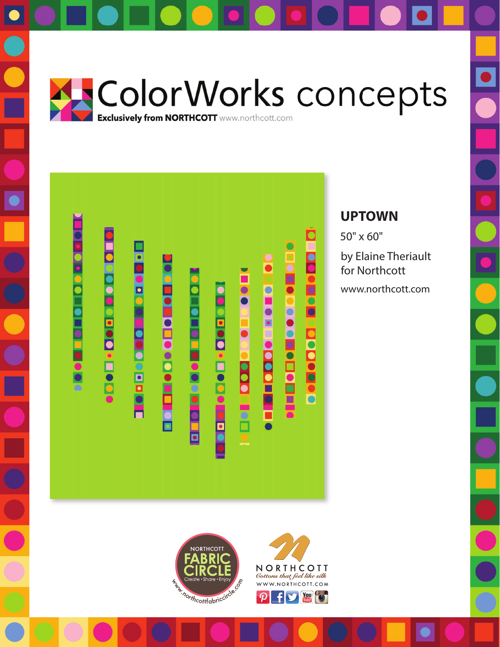







## **UPTOWN**

50" x 60"

by Elaine Theriault for Northcott

www.northcott.com